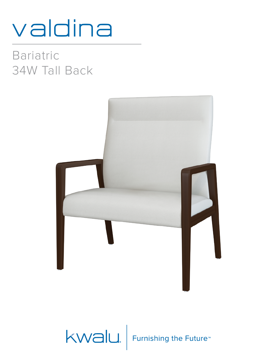## valdina

## Bariatric 34W Tall Back



## KWalu. Furnishing the Future